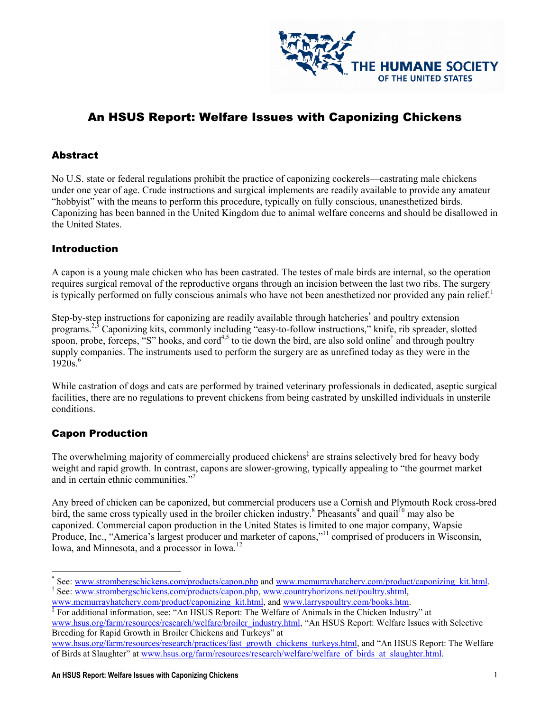

# An HSUS Report: Welfare Issues with Caponizing Chickens

#### Abstract

No U.S. state or federal regulations prohibit the practice of caponizing cockerels—castrating male chickens under one year of age. Crude instructions and surgical implements are readily available to provide any amateur "hobbyist" with the means to perform this procedure, typically on fully conscious, unanesthetized birds. Caponizing has been banned in the United Kingdom due to animal welfare concerns and should be disallowed in the United States.

#### **Introduction**

A capon is a young male chicken who has been castrated. The testes of male birds are internal, so the operation requires surgical removal of the reproductive organs through an incision between the last two ribs. The surgery is typically performed on fully conscious animals who have not been anesthetized nor provided any pain relief. $<sup>1</sup>$ </sup>

Step-by-step instructions for caponizing are readily available through hatcheries<sup>\*</sup> and poultry extension programs.2,3 Caponizing kits, commonly including "easy-to-follow instructions," knife, rib spreader, slotted spoon, probe, forceps, "S" hooks, and cord<sup>4,5</sup> to tie down the bird, are also sold online<sup>†</sup> and through poultry supply companies. The instruments used to perform the surgery are as unrefined today as they were in the  $1920s^{6}$ 

While castration of dogs and cats are performed by trained veterinary professionals in dedicated, aseptic surgical facilities, there are no regulations to prevent chickens from being castrated by unskilled individuals in unsterile conditions.

### Capon Production

The overwhelming majority of commercially produced chickens<sup>‡</sup> are strains selectively bred for heavy body weight and rapid growth. In contrast, capons are slower-growing, typically appealing to "the gourmet market and in certain ethnic communities."<sup>7</sup>

Any breed of chicken can be caponized, but commercial producers use a Cornish and Plymouth Rock cross-bred bird, the same cross typically used in the broiler chicken industry.<sup>8</sup> Pheasants<sup>9</sup> and quail<sup>10</sup> may also be caponized. Commercial capon production in the United States is limited to one major company, Wapsie Produce, Inc., "America's largest producer and marketer of capons,"<sup>11</sup> comprised of producers in Wisconsin, Iowa, and Minnesota, and a processor in Iowa.<sup>12</sup>

www.hsus.org/farm/resources/research/welfare/broiler\_industry.html, "An HSUS Report: Welfare Issues with Selective Breeding for Rapid Growth in Broiler Chickens and Turkeys" at

 $\overline{a}$ \* See: www.strombergschickens.com/products/capon.php and www.mcmurrayhatchery.com/product/caponizing\_kit.html. <sup>†</sup> See: www.strombergschickens.com/products/capon.php, www.countryhorizons.net/poultry.shtml,

www.mcmurrayhatchery.com/product/caponizing\_kit.html, and www.larryspoultry.com/books.htm. ‡ For additional information, see: "An HSUS Report: The Welfare of Animals in the Chicken Industry" at

www.hsus.org/farm/resources/research/practices/fast\_growth\_chickens\_turkeys.html, and "An HSUS Report: The Welfare of Birds at Slaughter" at www.hsus.org/farm/resources/research/welfare/welfare of birds at slaughter.html.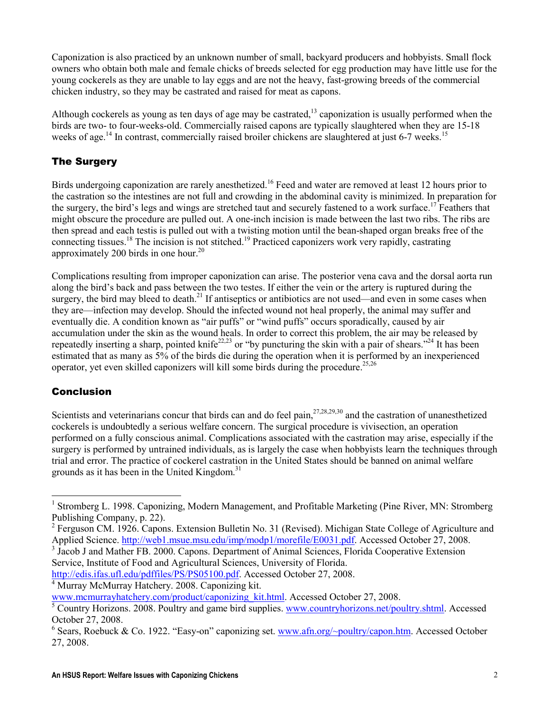Caponization is also practiced by an unknown number of small, backyard producers and hobbyists. Small flock owners who obtain both male and female chicks of breeds selected for egg production may have little use for the young cockerels as they are unable to lay eggs and are not the heavy, fast-growing breeds of the commercial chicken industry, so they may be castrated and raised for meat as capons.

Although cockerels as young as ten days of age may be castrated, $13$  caponization is usually performed when the birds are two- to four-weeks-old. Commercially raised capons are typically slaughtered when they are 15-18 weeks of age.<sup>14</sup> In contrast, commercially raised broiler chickens are slaughtered at just 6-7 weeks.<sup>15</sup>

## The Surgery

Birds undergoing caponization are rarely anesthetized.<sup>16</sup> Feed and water are removed at least 12 hours prior to the castration so the intestines are not full and crowding in the abdominal cavity is minimized. In preparation for the surgery, the bird's legs and wings are stretched taut and securely fastened to a work surface.<sup>17</sup> Feathers that might obscure the procedure are pulled out. A one-inch incision is made between the last two ribs. The ribs are then spread and each testis is pulled out with a twisting motion until the bean-shaped organ breaks free of the connecting tissues.<sup>18</sup> The incision is not stitched.<sup>19</sup> Practiced caponizers work very rapidly, castrating approximately 200 birds in one hour.<sup>20</sup>

Complications resulting from improper caponization can arise. The posterior vena cava and the dorsal aorta run along the bird's back and pass between the two testes. If either the vein or the artery is ruptured during the surgery, the bird may bleed to death.<sup>21</sup> If antiseptics or antibiotics are not used—and even in some cases when they are—infection may develop. Should the infected wound not heal properly, the animal may suffer and eventually die. A condition known as "air puffs" or "wind puffs" occurs sporadically, caused by air accumulation under the skin as the wound heals. In order to correct this problem, the air may be released by repeatedly inserting a sharp, pointed knife<sup>22,23</sup> or "by puncturing the skin with a pair of shears."<sup>24</sup> It has been estimated that as many as 5% of the birds die during the operation when it is performed by an inexperienced operator, yet even skilled caponizers will kill some birds during the procedure.<sup>25,26</sup>

### **Conclusion**

 $\ddot{\phantom{a}}$ 

Scientists and veterinarians concur that birds can and do feel pain,<sup>27,28,29,30</sup> and the castration of unanesthetized cockerels is undoubtedly a serious welfare concern. The surgical procedure is vivisection, an operation performed on a fully conscious animal. Complications associated with the castration may arise, especially if the surgery is performed by untrained individuals, as is largely the case when hobbyists learn the techniques through trial and error. The practice of cockerel castration in the United States should be banned on animal welfare grounds as it has been in the United Kingdom.<sup>31</sup>

http://edis.ifas.ufl.edu/pdffiles/PS/PS05100.pdf. Accessed October 27, 2008.

4 Murray McMurray Hatchery. 2008. Caponizing kit.

<sup>&</sup>lt;sup>1</sup> Stromberg L. 1998. Caponizing, Modern Management, and Profitable Marketing (Pine River, MN: Stromberg Publishing Company, p. 22).

<sup>&</sup>lt;sup>2</sup> Ferguson CM. 1926. Capons. Extension Bulletin No. 31 (Revised). Michigan State College of Agriculture and Applied Science. http://web1.msue.msu.edu/imp/modp1/morefile/E0031.pdf. Accessed October 27, 2008.

<sup>&</sup>lt;sup>3</sup> Jacob J and Mather FB. 2000. Capons. Department of Animal Sciences, Florida Cooperative Extension Service, Institute of Food and Agricultural Sciences, University of Florida.

www.mcmurrayhatchery.com/product/caponizing\_kit.html. Accessed October 27, 2008.

<sup>&</sup>lt;sup>5</sup> Country Horizons. 2008. Poultry and game bird supplies. www.countryhorizons.net/poultry.shtml. Accessed October 27, 2008.

<sup>&</sup>lt;sup>6</sup> Sears, Roebuck & Co. 1922. "Easy-on" caponizing set.  $\underline{www.afn.org/}$ -poultry/capon.htm. Accessed October 27, 2008.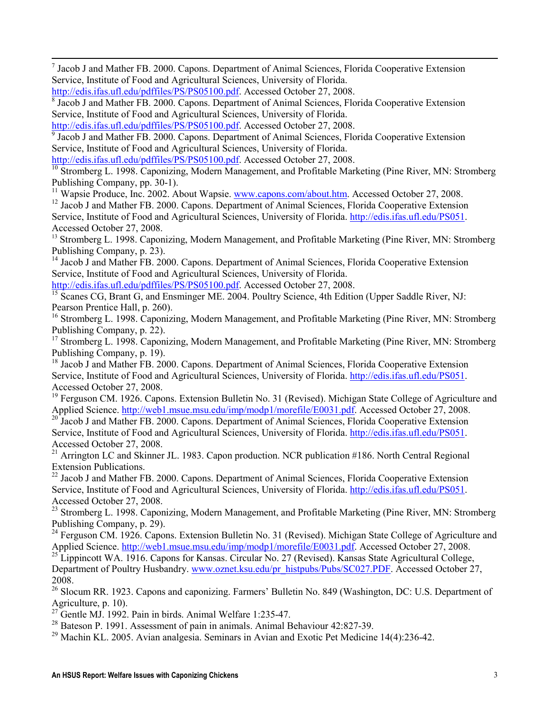<sup>7</sup> Jacob J and Mather FB. 2000. Capons. Department of Animal Sciences, Florida Cooperative Extension Service, Institute of Food and Agricultural Sciences, University of Florida.

1

<sup>9</sup> Jacob J and Mather FB. 2000. Capons. Department of Animal Sciences, Florida Cooperative Extension Service, Institute of Food and Agricultural Sciences, University of Florida.

<sup>10</sup> Stromberg L. 1998. Caponizing, Modern Management, and Profitable Marketing (Pine River, MN: Stromberg Publishing Company, pp. 30-1).

<sup>11</sup> Wapsie Produce, Inc. 2002. About Wapsie. www.capons.com/about.htm. Accessed October 27, 2008.

<sup>12</sup> Jacob J and Mather FB. 2000. Capons. Department of Animal Sciences, Florida Cooperative Extension Service, Institute of Food and Agricultural Sciences, University of Florida. http://edis.ifas.ufl.edu/PS051. Accessed October 27, 2008.

<sup>13</sup> Stromberg L. 1998. Caponizing, Modern Management, and Profitable Marketing (Pine River, MN: Stromberg) Publishing Company, p. 23).

<sup>14</sup> Jacob J and Mather FB. 2000. Capons. Department of Animal Sciences, Florida Cooperative Extension Service, Institute of Food and Agricultural Sciences, University of Florida.

http://edis.ifas.ufl.edu/pdffiles/PS/PS05100.pdf. Accessed October 27, 2008.

<sup>15</sup> Scanes CG, Brant G, and Ensminger ME. 2004. Poultry Science, 4th Edition (Upper Saddle River, NJ: Pearson Prentice Hall, p. 260).

<sup>16</sup> Stromberg L. 1998. Caponizing, Modern Management, and Profitable Marketing (Pine River, MN: Stromberg) Publishing Company, p. 22).

<sup>17</sup> Stromberg L. 1998. Caponizing, Modern Management, and Profitable Marketing (Pine River, MN: Stromberg) Publishing Company, p. 19).

<sup>18</sup> Jacob J and Mather FB. 2000. Capons. Department of Animal Sciences, Florida Cooperative Extension Service, Institute of Food and Agricultural Sciences, University of Florida. http://edis.ifas.ufl.edu/PS051. Accessed October 27, 2008.

<sup>19</sup> Ferguson CM. 1926. Capons. Extension Bulletin No. 31 (Revised). Michigan State College of Agriculture and Applied Science. http://web1.msue.msu.edu/imp/modp1/morefile/E0031.pdf. Accessed October 27, 2008.

<sup>20</sup> Jacob J and Mather FB. 2000. Capons. Department of Animal Sciences, Florida Cooperative Extension Service, Institute of Food and Agricultural Sciences, University of Florida. http://edis.ifas.ufl.edu/PS051. Accessed October 27, 2008.

<sup>21</sup> Arrington LC and Skinner JL. 1983. Capon production. NCR publication #186. North Central Regional Extension Publications.

<sup>22</sup> Jacob J and Mather FB. 2000. Capons. Department of Animal Sciences, Florida Cooperative Extension Service, Institute of Food and Agricultural Sciences, University of Florida. http://edis.ifas.ufl.edu/PS051. Accessed October 27, 2008.

<sup>23</sup> Stromberg L. 1998. Caponizing, Modern Management, and Profitable Marketing (Pine River, MN: Stromberg) Publishing Company, p. 29).

<sup>24</sup> Ferguson CM. 1926. Capons. Extension Bulletin No. 31 (Revised). Michigan State College of Agriculture and Applied Science. http://web1.msue.msu.edu/imp/modp1/morefile/E0031.pdf. Accessed October 27, 2008.

<sup>25</sup> Lippincott WA. 1916. Capons for Kansas. Circular No. 27 (Revised). Kansas State Agricultural College, Department of Poultry Husbandry. www.oznet.ksu.edu/pr\_histpubs/Pubs/SC027.PDF. Accessed October 27, 2008.

<sup>26</sup> Slocum RR. 1923. Capons and caponizing. Farmers' Bulletin No. 849 (Washington, DC: U.S. Department of Agriculture, p. 10).

<sup>27</sup> Gentle MJ. 1992. Pain in birds. Animal Welfare 1:235-47.

 $^{28}$  Bateson P. 1991. Assessment of pain in animals. Animal Behaviour 42:827-39.

 $^{29}$  Machin KL. 2005. Avian analgesia. Seminars in Avian and Exotic Pet Medicine 14(4):236-42.

http://edis.ifas.ufl.edu/pdffiles/PS/PS05100.pdf. Accessed October 27, 2008.

<sup>&</sup>lt;sup>8</sup> Jacob J and Mather FB. 2000. Capons. Department of Animal Sciences, Florida Cooperative Extension Service, Institute of Food and Agricultural Sciences, University of Florida.

http://edis.ifas.ufl.edu/pdffiles/PS/PS05100.pdf. Accessed October 27, 2008.

http://edis.ifas.ufl.edu/pdffiles/PS/PS05100.pdf. Accessed October 27, 2008.